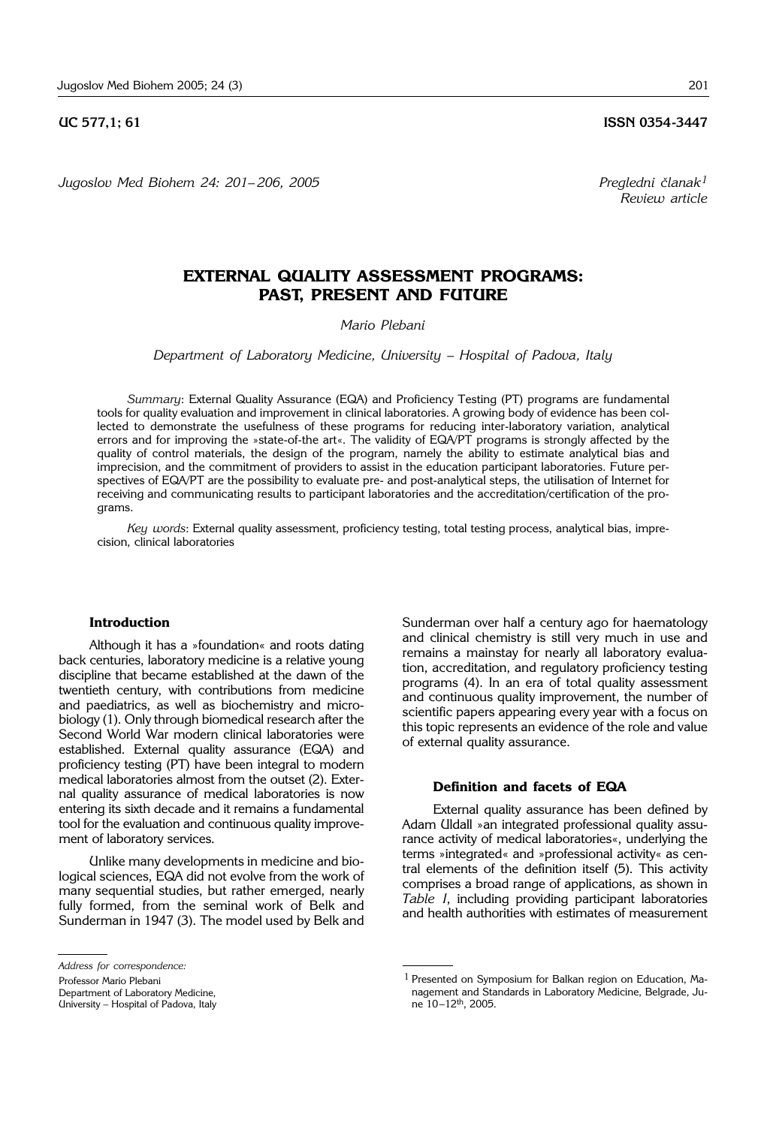**UC 577.1: 61 ISSN 0354-3447** 

*Jugoslov Med Biohem 24: 201*– *206, 2005 Pregledni ~lanak1*

*Review article*

# **EXTERNAL QUALITY ASSESSMENT PROGRAMS: PAST, PRESENT AND FUTURE**

*Mario Plebani*

*Department of Laboratory Medicine, University - Hospital of Padova, Italy* 

*Summary*: External Quality Assurance (EQA) and Proficiency Testing (PT) programs are fundamental tools for quality evaluation and improvement in clinical laboratories. A growing body of evidence has been collected to demonstrate the usefulness of these programs for reducing inter-laboratory variation, analytical errors and for improving the »state-of-the art«. The validity of EQA/PT programs is strongly affected by the quality of control materials, the design of the program, namely the ability to estimate analytical bias and imprecision, and the commitment of providers to assist in the education participant laboratories. Future perspectives of EQA/PT are the possibility to evaluate pre- and post-analytical steps, the utilisation of Internet for receiving and communicating results to participant laboratories and the accreditation/certification of the programs.

*Key words*: External quality assessment, proficiency testing, total testing process, analytical bias, imprecision, clinical laboratories

## **Introduction**

Although it has a »foundation« and roots dating back centuries, laboratory medicine is a relative young discipline that became established at the dawn of the twentieth century, with contributions from medicine and paediatrics, as well as biochemistry and microbiology (1). Only through biomedical research after the Second World War modern clinical laboratories were established. External quality assurance (EQA) and proficiency testing (PT) have been integral to modern medical laboratories almost from the outset (2). External quality assurance of medical laboratories is now entering its sixth decade and it remains a fundamental tool for the evaluation and continuous quality improvement of laboratory services.

Unlike many developments in medicine and biological sciences, EQA did not evolve from the work of many sequential studies, but rather emerged, nearly fully formed, from the seminal work of Belk and Sunderman in 1947 (3). The model used by Belk and

Professor Mario Plebani Department of Laboratory Medicine, University – Hospital of Padova, Italy Sunderman over half a century ago for haematology and clinical chemistry is still very much in use and remains a mainstay for nearly all laboratory evaluation, accreditation, and regulatory proficiency testing programs (4). In an era of total quality assessment and continuous quality improvement, the number of scientific papers appearing every year with a focus on this topic represents an evidence of the role and value of external quality assurance.

## **Definition and facets of EQA**

External quality assurance has been defined by Adam Uldall »an integrated professional quality assurance activity of medical laboratories«, underlying the terms »integrated« and »professional activity« as central elements of the definition itself (5). This activity comprises a broad range of applications, as shown in *Table I*, including providing participant laboratories and health authorities with estimates of measurement

*Address for correspondence:*

<sup>1</sup> Presented on Symposium for Balkan region on Education, Management and Standards in Laboratory Medicine, Belgrade, June 10–12th, 2005.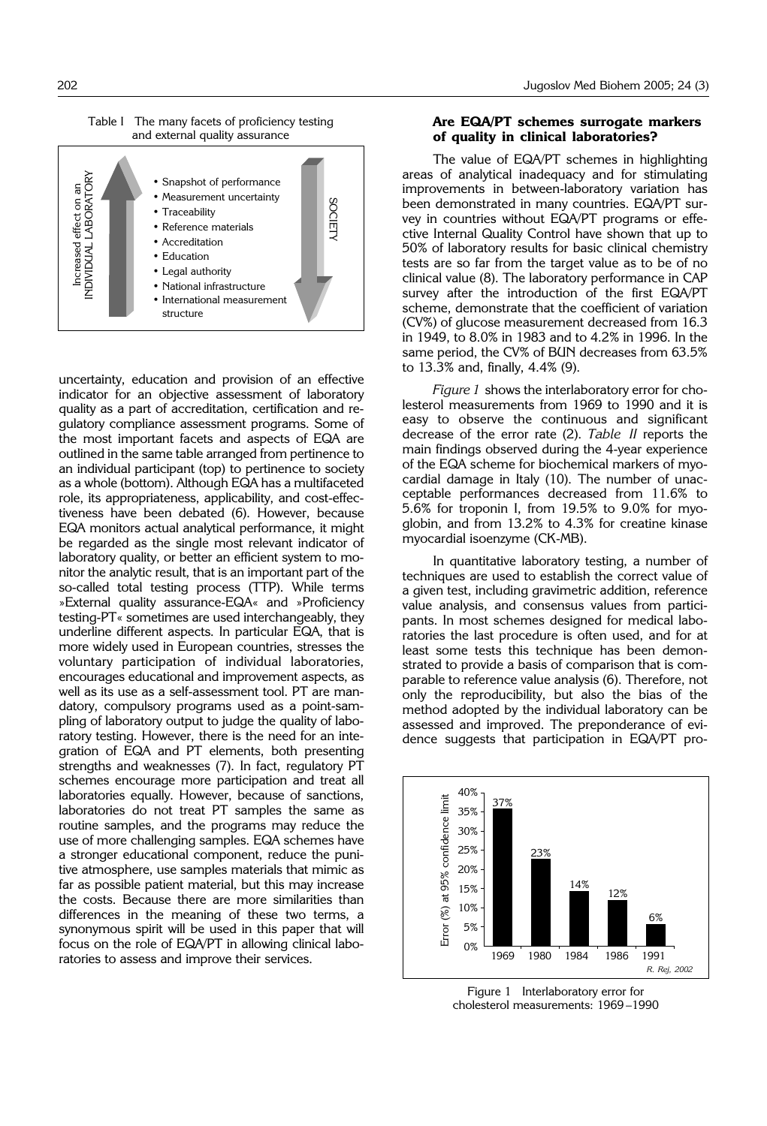Table I The many facets of proficiency testing and external quality assurance



uncertainty, education and provision of an effective indicator for an objective assessment of laboratory quality as a part of accreditation, certification and regulatory compliance assessment programs. Some of the most important facets and aspects of EQA are outlined in the same table arranged from pertinence to an individual participant (top) to pertinence to society as a whole (bottom). Although EQA has a multifaceted role, its appropriateness, applicability, and cost-effectiveness have been debated (6). However, because EQA monitors actual analytical performance, it might be regarded as the single most relevant indicator of laboratory quality, or better an efficient system to monitor the analytic result, that is an important part of the so-called total testing process (TTP). While terms »External quality assurance-EQA« and »Proficiency testing-PT« sometimes are used interchangeably, they underline different aspects. In particular EQA, that is more widely used in European countries, stresses the voluntary participation of individual laboratories, encourages educational and improvement aspects, as well as its use as a self-assessment tool. PT are mandatory, compulsory programs used as a point-sampling of laboratory output to judge the quality of laboratory testing. However, there is the need for an integration of EQA and PT elements, both presenting strengths and weaknesses (7). In fact, regulatory PT schemes encourage more participation and treat all laboratories equally. However, because of sanctions, laboratories do not treat PT samples the same as routine samples, and the programs may reduce the use of more challenging samples. EQA schemes have a stronger educational component, reduce the punitive atmosphere, use samples materials that mimic as far as possible patient material, but this may increase the costs. Because there are more similarities than differences in the meaning of these two terms, a synonymous spirit will be used in this paper that will focus on the role of EQA/PT in allowing clinical laboratories to assess and improve their services.

# **Are EQA/PT schemes surrogate markers of quality in clinical laboratories?**

The value of EQA/PT schemes in highlighting areas of analytical inadequacy and for stimulating improvements in between-laboratory variation has been demonstrated in many countries. EQA/PT survey in countries without EQA/PT programs or effective Internal Quality Control have shown that up to 50% of laboratory results for basic clinical chemistry tests are so far from the target value as to be of no clinical value (8). The laboratory performance in CAP survey after the introduction of the first EQA/PT scheme, demonstrate that the coefficient of variation (CV%) of glucose measurement decreased from 16.3 in 1949, to 8.0% in 1983 and to 4.2% in 1996. In the same period, the CV% of BUN decreases from 63.5% to 13.3% and, finally, 4.4% (9).

*Figure 1* shows the interlaboratory error for cholesterol measurements from 1969 to 1990 and it is easy to observe the continuous and significant decrease of the error rate (2). *Table II* reports the main findings observed during the 4-year experience of the EQA scheme for biochemical markers of myocardial damage in Italy (10). The number of unacceptable performances decreased from 11.6% to 5.6% for troponin I, from 19.5% to 9.0% for myoglobin, and from 13.2% to 4.3% for creatine kinase myocardial isoenzyme (CK-MB).

In quantitative laboratory testing, a number of techniques are used to establish the correct value of a given test, including gravimetric addition, reference value analysis, and consensus values from participants. In most schemes designed for medical laboratories the last procedure is often used, and for at least some tests this technique has been demonstrated to provide a basis of comparison that is comparable to reference value analysis (6). Therefore, not only the reproducibility, but also the bias of the method adopted by the individual laboratory can be assessed and improved. The preponderance of evidence suggests that participation in EQA/PT pro-



Figure 1 Interlaboratory error for cholesterol measurements: 1969 –1990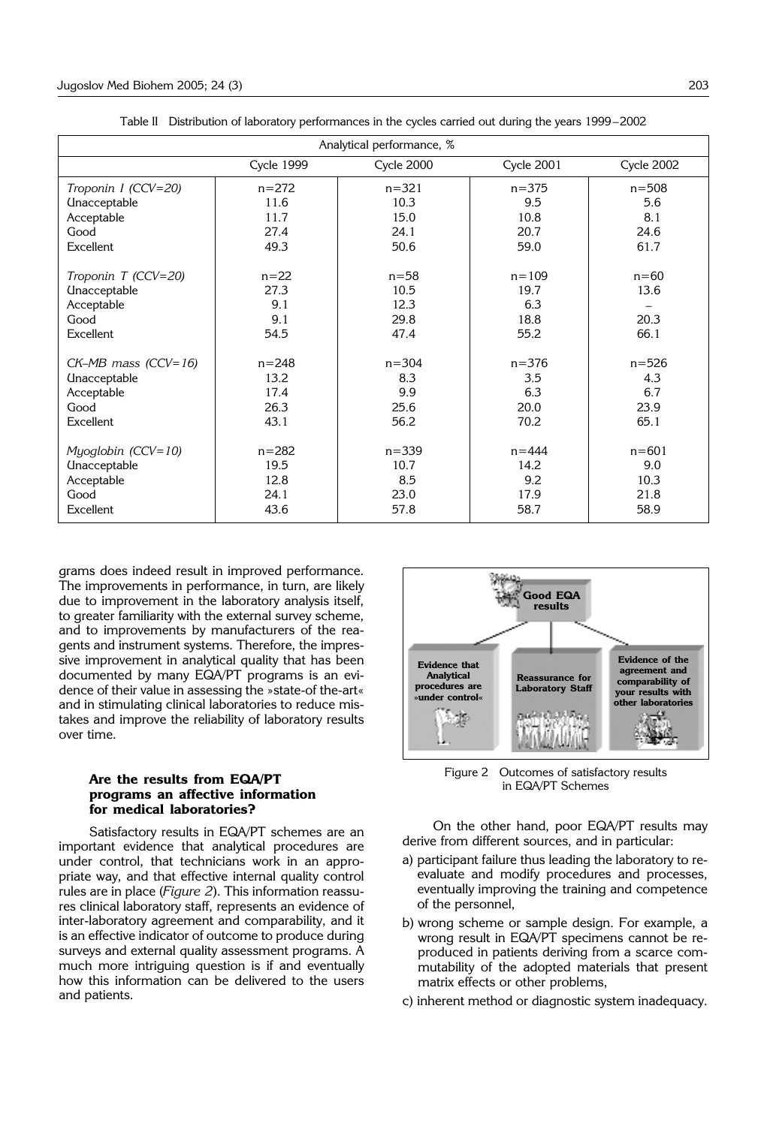| Analytical performance, %         |                   |            |                   |            |
|-----------------------------------|-------------------|------------|-------------------|------------|
|                                   | <b>Cycle 1999</b> | Cycle 2000 | <b>Cycle 2001</b> | Cycle 2002 |
| Troponin I (CCV=20)               | $n = 272$         | $n = 321$  | $n = 375$         | $n = 508$  |
| <b><i><u>Unacceptable</u></i></b> | 11.6              | 10.3       | 9.5               | 5.6        |
| Acceptable                        | 11.7              | 15.0       | 10.8              | 8.1        |
| Good                              | 27.4              | 24.1       | 20.7              | 24.6       |
| Excellent                         | 49.3              | 50.6       | 59.0              | 61.7       |
|                                   |                   |            |                   |            |
| Troponin T (CCV=20)               | $n = 22$          | $n = 58$   | $n = 109$         | $n=60$     |
| <b><i><u>Unacceptable</u></i></b> | 27.3              | 10.5       | 19.7              | 13.6       |
| Acceptable                        | 9.1               | 12.3       | 6.3               |            |
| Good                              | 9.1               | 29.8       | 18.8              | 20.3       |
| Excellent                         | 54.5              | 47.4       | 55.2              | 66.1       |
| $CK-MB$ mass ( $CCV=16$ )         | $n = 248$         | $n = 304$  | $n = 376$         | $n = 526$  |
|                                   |                   |            |                   |            |
| <b>Unacceptable</b>               | 13.2<br>17.4      | 8.3<br>9.9 | 3.5<br>6.3        | 4.3<br>6.7 |
| Acceptable                        |                   |            |                   |            |
| Good                              | 26.3              | 25.6       | 20.0              | 23.9       |
| Excellent                         | 43.1              | 56.2       | 70.2              | 65.1       |
| Myoglobin (CCV=10)                | $n = 282$         | $n = 339$  | $n = 444$         | $n = 601$  |
| <b><i><u>Unacceptable</u></i></b> | 19.5              | 10.7       | 14.2              | 9.0        |
| Acceptable                        | 12.8              | 8.5        | 9.2               | 10.3       |
| Good                              | 24.1              | 23.0       | 17.9              | 21.8       |
| Excellent                         | 43.6              | 57.8       | 58.7              | 58.9       |

Table II Distribution of laboratory performances in the cycles carried out during the years 1999–2002

grams does indeed result in improved performance. The improvements in performance, in turn, are likely due to improvement in the laboratory analysis itself, to greater familiarity with the external survey scheme, and to improvements by manufacturers of the reagents and instrument systems. Therefore, the impressive improvement in analytical quality that has been documented by many EQA/PT programs is an evidence of their value in assessing the »state-of the-art« and in stimulating clinical laboratories to reduce mistakes and improve the reliability of laboratory results over time.

# **Are the results from EQA/PT programs an affective information for medical laboratories?**

Satisfactory results in EQA/PT schemes are an important evidence that analytical procedures are under control, that technicians work in an appropriate way, and that effective internal quality control rules are in place (*Figure 2*). This information reassures clinical laboratory staff, represents an evidence of inter-laboratory agreement and comparability, and it is an effective indicator of outcome to produce during surveys and external quality assessment programs. A much more intriguing question is if and eventually how this information can be delivered to the users and patients.



Figure 2 Outcomes of satisfactory results in EQA/PT Schemes

On the other hand, poor EQA/PT results may derive from different sources, and in particular:

- a) participant failure thus leading the laboratory to reevaluate and modify procedures and processes, eventually improving the training and competence of the personnel,
- b) wrong scheme or sample design. For example, a wrong result in EQA/PT specimens cannot be reproduced in patients deriving from a scarce commutability of the adopted materials that present matrix effects or other problems,
- c) inherent method or diagnostic system inadequacy.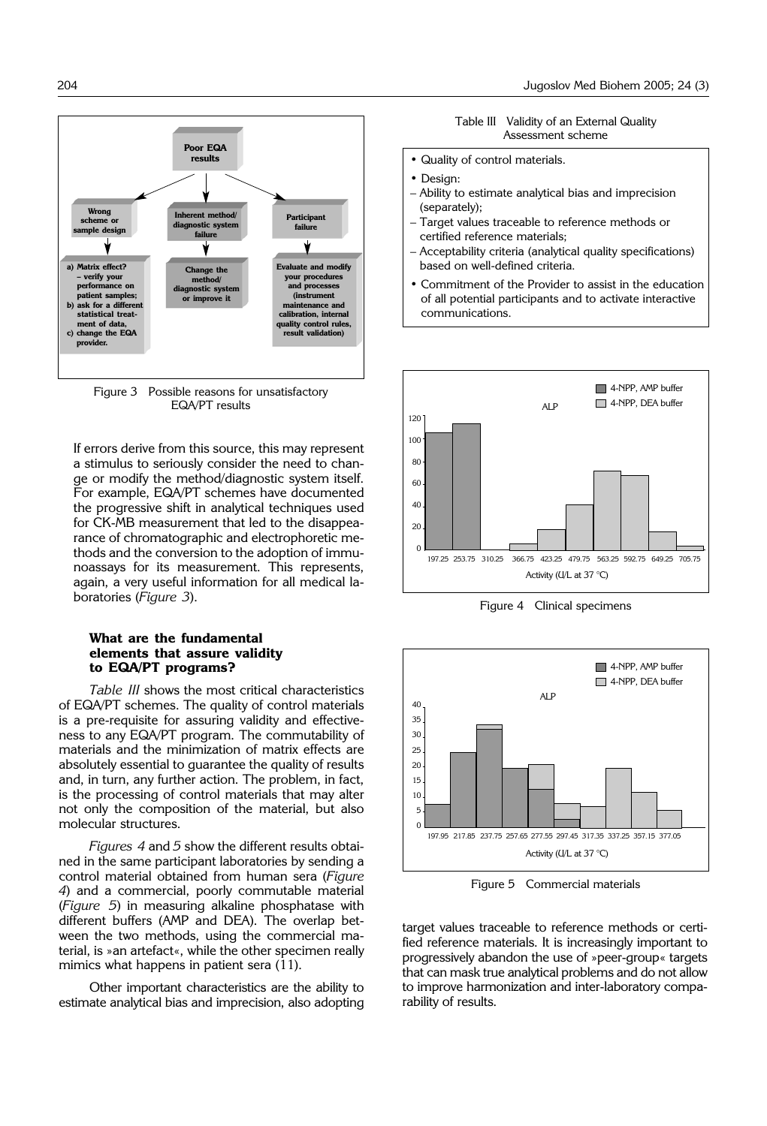

Fiaure 3 Possible reasons for unsatisfactory EQA/PT results

If errors derive from this source, this may represent a stimulus to seriously consider the need to change or modify the method/diagnostic system itself. For example, EQA/PT schemes have documented the progressive shift in analytical techniques used for CK-MB measurement that led to the disappearance of chromatographic and electrophoretic methods and the conversion to the adoption of immunoassays for its measurement. This represents, again, a very useful information for all medical laboratories (*Figure 3*).

## **What are the fundamental elements that assure validity to EQA/PT programs?**

*Table III* shows the most critical characteristics of EQA/PT schemes. The quality of control materials is a pre-requisite for assuring validity and effectiveness to any EQA/PT program. The commutability of materials and the minimization of matrix effects are absolutely essential to guarantee the quality of results and, in turn, any further action. The problem, in fact, is the processing of control materials that may alter not only the composition of the material, but also molecular structures.

*Figures 4* and *5* show the different results obtained in the same participant laboratories by sending a control material obtained from human sera (*Figure 4*) and a commercial, poorly commutable material (*Figure 5*) in measuring alkaline phosphatase with different buffers (AMP and DEA). The overlap between the two methods, using the commercial material, is »an artefact«, while the other specimen really mimics what happens in patient sera (11).

Other important characteristics are the ability to estimate analytical bias and imprecision, also adopting

Table III Validity of an External Quality Assessment scheme

- Quality of control materials.
- Design:
- Ability to estimate analytical bias and imprecision (separately);
- Target values traceable to reference methods or certified reference materials;
- Acceptability criteria (analytical quality specifications) based on well-defined criteria.
- Commitment of the Provider to assist in the education of all potential participants and to activate interactive communications.



Figure 4 Clinical specimens



Figure 5 Commercial materials

target values traceable to reference methods or certified reference materials. It is increasingly important to progressively abandon the use of »peer-group« targets that can mask true analytical problems and do not allow to improve harmonization and inter-laboratory comparability of results.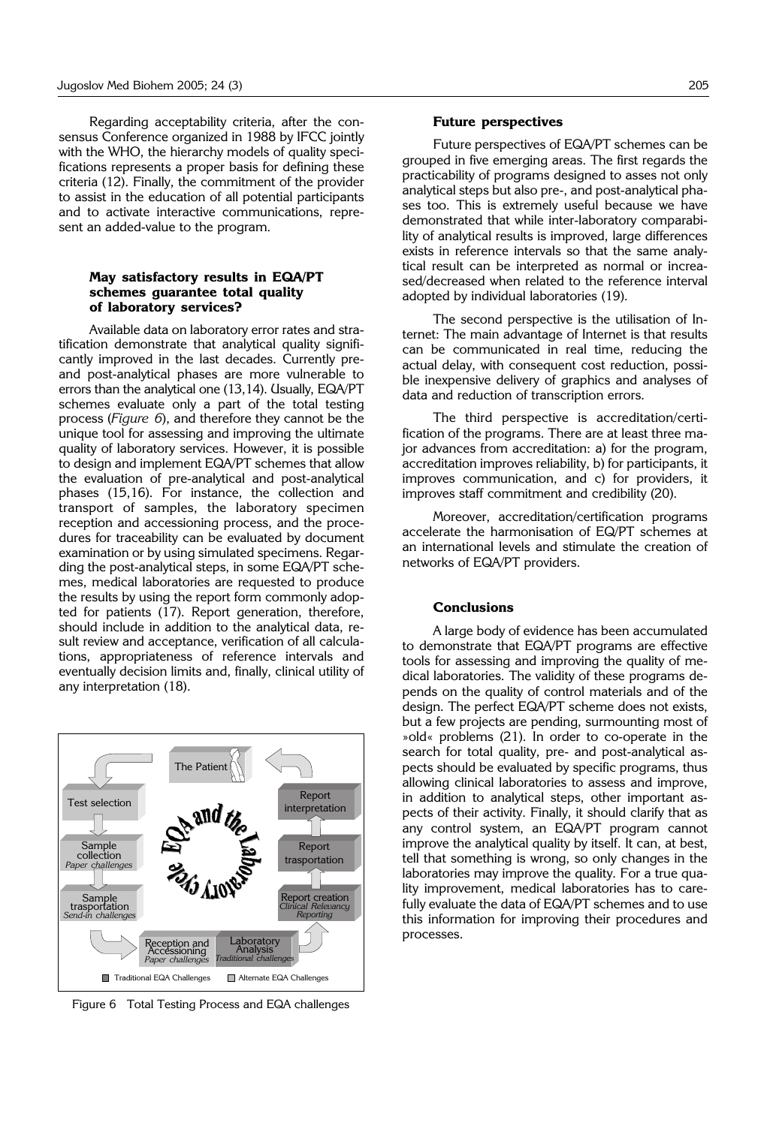Regarding acceptability criteria, after the consensus Conference organized in 1988 by IFCC jointly with the WHO, the hierarchy models of quality specifications represents a proper basis for defining these criteria (12). Finally, the commitment of the provider to assist in the education of all potential participants and to activate interactive communications, represent an added-value to the program.

### **May satisfactory results in EQA/PT schemes guarantee total quality of laboratory services?**

Available data on laboratory error rates and stratification demonstrate that analytical quality significantly improved in the last decades. Currently preand post-analytical phases are more vulnerable to errors than the analytical one (13,14). Usually, EQA/PT schemes evaluate only a part of the total testing process (*Figure 6*), and therefore they cannot be the unique tool for assessing and improving the ultimate quality of laboratory services. However, it is possible to design and implement EQA/PT schemes that allow the evaluation of pre-analytical and post-analytical phases (15,16). For instance, the collection and transport of samples, the laboratory specimen reception and accessioning process, and the procedures for traceability can be evaluated by document examination or by using simulated specimens. Regarding the post-analytical steps, in some EQA/PT schemes, medical laboratories are requested to produce the results by using the report form commonly adopted for patients (17). Report generation, therefore, should include in addition to the analytical data, result review and acceptance, verification of all calculations, appropriateness of reference intervals and eventually decision limits and, finally, clinical utility of any interpretation (18).



Figure 6 Total Testing Process and EQA challenges

#### **Future perspectives**

Future perspectives of EQA/PT schemes can be grouped in five emerging areas. The first regards the practicability of programs designed to asses not only analytical steps but also pre-, and post-analytical phases too. This is extremely useful because we have demonstrated that while inter-laboratory comparability of analytical results is improved, large differences exists in reference intervals so that the same analytical result can be interpreted as normal or increased/decreased when related to the reference interval adopted by individual laboratories (19).

The second perspective is the utilisation of Internet: The main advantage of Internet is that results can be communicated in real time, reducing the actual delay, with consequent cost reduction, possible inexpensive delivery of graphics and analyses of data and reduction of transcription errors.

The third perspective is accreditation/certification of the programs. There are at least three major advances from accreditation: a) for the program, accreditation improves reliability, b) for participants, it improves communication, and c) for providers, it improves staff commitment and credibility (20).

Moreover, accreditation/certification programs accelerate the harmonisation of EQ/PT schemes at an international levels and stimulate the creation of networks of EQA/PT providers.

# **Conclusions**

A large body of evidence has been accumulated to demonstrate that EQA/PT programs are effective tools for assessing and improving the quality of medical laboratories. The validity of these programs depends on the quality of control materials and of the design. The perfect EQA/PT scheme does not exists, but a few projects are pending, surmounting most of »old« problems (21). In order to co-operate in the search for total quality, pre- and post-analytical aspects should be evaluated by specific programs, thus allowing clinical laboratories to assess and improve, in addition to analytical steps, other important aspects of their activity. Finally, it should clarify that as any control system, an EQA/PT program cannot improve the analytical quality by itself. It can, at best, tell that something is wrong, so only changes in the laboratories may improve the quality. For a true quality improvement, medical laboratories has to carefully evaluate the data of EQA/PT schemes and to use this information for improving their procedures and processes.